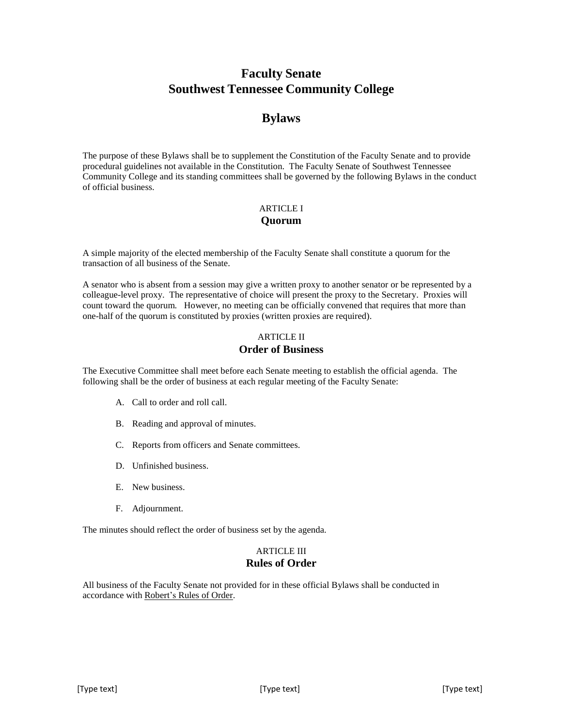# **Faculty Senate Southwest Tennessee Community College**

# **Bylaws**

The purpose of these Bylaws shall be to supplement the Constitution of the Faculty Senate and to provide procedural guidelines not available in the Constitution. The Faculty Senate of Southwest Tennessee Community College and its standing committees shall be governed by the following Bylaws in the conduct of official business.

# ARTICLE I **Quorum**

A simple majority of the elected membership of the Faculty Senate shall constitute a quorum for the transaction of all business of the Senate.

A senator who is absent from a session may give a written proxy to another senator or be represented by a colleague-level proxy. The representative of choice will present the proxy to the Secretary. Proxies will count toward the quorum. However, no meeting can be officially convened that requires that more than one-half of the quorum is constituted by proxies (written proxies are required).

# ARTICLE II

# **Order of Business**

The Executive Committee shall meet before each Senate meeting to establish the official agenda. The following shall be the order of business at each regular meeting of the Faculty Senate:

- A. Call to order and roll call.
- B. Reading and approval of minutes.
- C. Reports from officers and Senate committees.
- D. Unfinished business.
- E. New business.
- F. Adjournment.

The minutes should reflect the order of business set by the agenda.

# ARTICLE III **Rules of Order**

All business of the Faculty Senate not provided for in these official Bylaws shall be conducted in accordance with Robert's Rules of Order.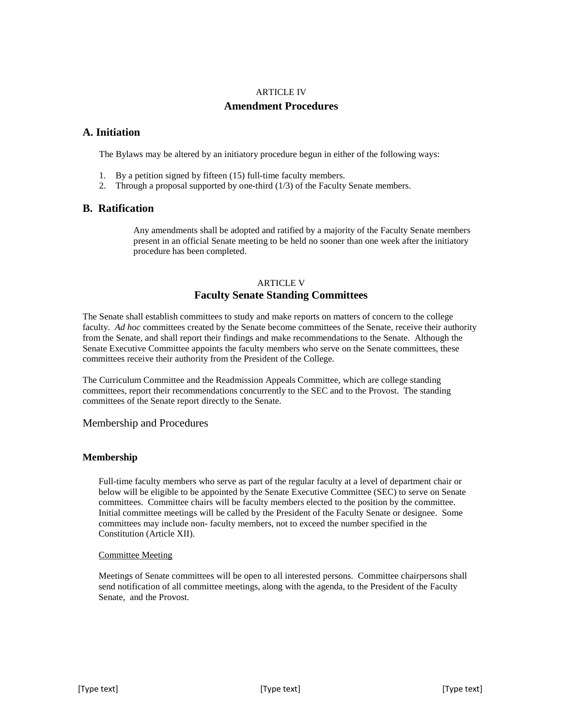# ARTICLE IV

# **Amendment Procedures**

# **A. Initiation**

The Bylaws may be altered by an initiatory procedure begun in either of the following ways:

- 1. By a petition signed by fifteen (15) full-time faculty members.
- 2. Through a proposal supported by one-third (1/3) of the Faculty Senate members.

# **B. Ratification**

Any amendments shall be adopted and ratified by a majority of the Faculty Senate members present in an official Senate meeting to be held no sooner than one week after the initiatory procedure has been completed.

# ARTICLE V **Faculty Senate Standing Committees**

The Senate shall establish committees to study and make reports on matters of concern to the college faculty. *Ad hoc* committees created by the Senate become committees of the Senate, receive their authority from the Senate, and shall report their findings and make recommendations to the Senate. Although the Senate Executive Committee appoints the faculty members who serve on the Senate committees, these committees receive their authority from the President of the College.

The Curriculum Committee and the Readmission Appeals Committee, which are college standing committees, report their recommendations concurrently to the SEC and to the Provost. The standing committees of the Senate report directly to the Senate.

Membership and Procedures

# **Membership**

Full-time faculty members who serve as part of the regular faculty at a level of department chair or below will be eligible to be appointed by the Senate Executive Committee (SEC) to serve on Senate committees. Committee chairs will be faculty members elected to the position by the committee. Initial committee meetings will be called by the President of the Faculty Senate or designee. Some committees may include non- faculty members, not to exceed the number specified in the Constitution (Article XII).

# Committee Meeting

Meetings of Senate committees will be open to all interested persons. Committee chairpersons shall send notification of all committee meetings, along with the agenda, to the President of the Faculty Senate, and the Provost.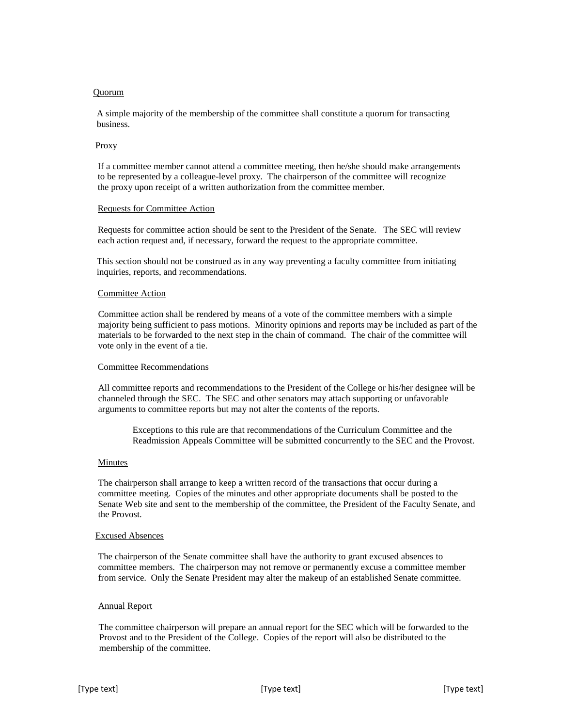### Quorum

A simple majority of the membership of the committee shall constitute a quorum for transacting business.

### Proxy

If a committee member cannot attend a committee meeting, then he/she should make arrangements to be represented by a colleague-level proxy. The chairperson of the committee will recognize the proxy upon receipt of a written authorization from the committee member.

#### Requests for Committee Action

Requests for committee action should be sent to the President of the Senate. The SEC will review each action request and, if necessary, forward the request to the appropriate committee.

This section should not be construed as in any way preventing a faculty committee from initiating inquiries, reports, and recommendations.

### Committee Action

Committee action shall be rendered by means of a vote of the committee members with a simple majority being sufficient to pass motions. Minority opinions and reports may be included as part of the materials to be forwarded to the next step in the chain of command. The chair of the committee will vote only in the event of a tie.

#### Committee Recommendations

All committee reports and recommendations to the President of the College or his/her designee will be channeled through the SEC. The SEC and other senators may attach supporting or unfavorable arguments to committee reports but may not alter the contents of the reports.

Exceptions to this rule are that recommendations of the Curriculum Committee and the Readmission Appeals Committee will be submitted concurrently to the SEC and the Provost.

### Minutes

The chairperson shall arrange to keep a written record of the transactions that occur during a committee meeting. Copies of the minutes and other appropriate documents shall be posted to the Senate Web site and sent to the membership of the committee, the President of the Faculty Senate, and the Provost.

#### Excused Absences

The chairperson of the Senate committee shall have the authority to grant excused absences to committee members. The chairperson may not remove or permanently excuse a committee member from service. Only the Senate President may alter the makeup of an established Senate committee.

### Annual Report

The committee chairperson will prepare an annual report for the SEC which will be forwarded to the Provost and to the President of the College. Copies of the report will also be distributed to the membership of the committee.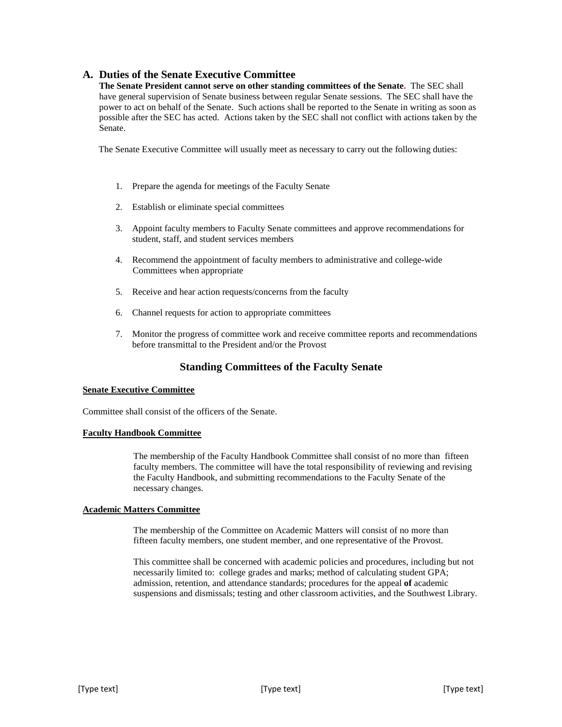# **A. Duties of the Senate Executive Committee**

**The Senate President cannot serve on other standing committees of the Senate.** The SEC shall have general supervision of Senate business between regular Senate sessions. The SEC shall have the power to act on behalf of the Senate. Such actions shall be reported to the Senate in writing as soon as possible after the SEC has acted. Actions taken by the SEC shall not conflict with actions taken by the Senate.

The Senate Executive Committee will usually meet as necessary to carry out the following duties:

- 1. Prepare the agenda for meetings of the Faculty Senate
- 2. Establish or eliminate special committees
- 3. Appoint faculty members to Faculty Senate committees and approve recommendations for student, staff, and student services members
- 4. Recommend the appointment of faculty members to administrative and college-wide Committees when appropriate
- 5. Receive and hear action requests/concerns from the faculty
- 6. Channel requests for action to appropriate committees
- 7. Monitor the progress of committee work and receive committee reports and recommendations before transmittal to the President and/or the Provost

# **Standing Committees of the Faculty Senate**

### **Senate Executive Committee**

Committee shall consist of the officers of the Senate.

### **Faculty Handbook Committee**

The membership of the Faculty Handbook Committee shall consist of no more than fifteen faculty members. The committee will have the total responsibility of reviewing and revising the Faculty Handbook, and submitting recommendations to the Faculty Senate of the necessary changes.

### **Academic Matters Committee**

The membership of the Committee on Academic Matters will consist of no more than fifteen faculty members, one student member, and one representative of the Provost.

This committee shall be concerned with academic policies and procedures, including but not necessarily limited to: college grades and marks; method of calculating student GPA; admission, retention, and attendance standards; procedures for the appeal **of** academic suspensions and dismissals; testing and other classroom activities, and the Southwest Library.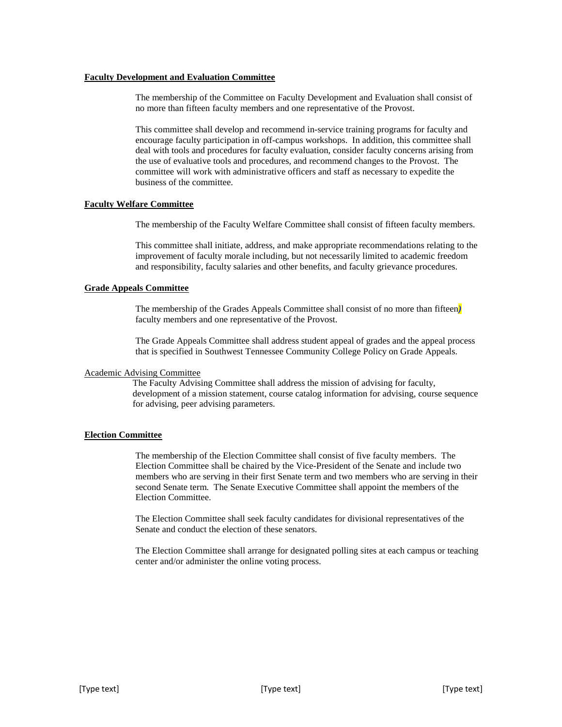#### **Faculty Development and Evaluation Committee**

The membership of the Committee on Faculty Development and Evaluation shall consist of no more than fifteen faculty members and one representative of the Provost.

This committee shall develop and recommend in-service training programs for faculty and encourage faculty participation in off-campus workshops. In addition, this committee shall deal with tools and procedures for faculty evaluation, consider faculty concerns arising from the use of evaluative tools and procedures, and recommend changes to the Provost. The committee will work with administrative officers and staff as necessary to expedite the business of the committee.

# **Faculty Welfare Committee**

The membership of the Faculty Welfare Committee shall consist of fifteen faculty members.

This committee shall initiate, address, and make appropriate recommendations relating to the improvement of faculty morale including, but not necessarily limited to academic freedom and responsibility, faculty salaries and other benefits, and faculty grievance procedures.

# **Grade Appeals Committee**

The membership of the Grades Appeals Committee shall consist of no more than fifteen*)* faculty members and one representative of the Provost.

The Grade Appeals Committee shall address student appeal of grades and the appeal process that is specified in Southwest Tennessee Community College Policy on Grade Appeals.

# Academic Advising Committee

The Faculty Advising Committee shall address the mission of advising for faculty, development of a mission statement, course catalog information for advising, course sequence for advising, peer advising parameters.

# **Election Committee**

The membership of the Election Committee shall consist of five faculty members. The Election Committee shall be chaired by the Vice-President of the Senate and include two members who are serving in their first Senate term and two members who are serving in their second Senate term. The Senate Executive Committee shall appoint the members of the Election Committee.

The Election Committee shall seek faculty candidates for divisional representatives of the Senate and conduct the election of these senators.

The Election Committee shall arrange for designated polling sites at each campus or teaching center and/or administer the online voting process.